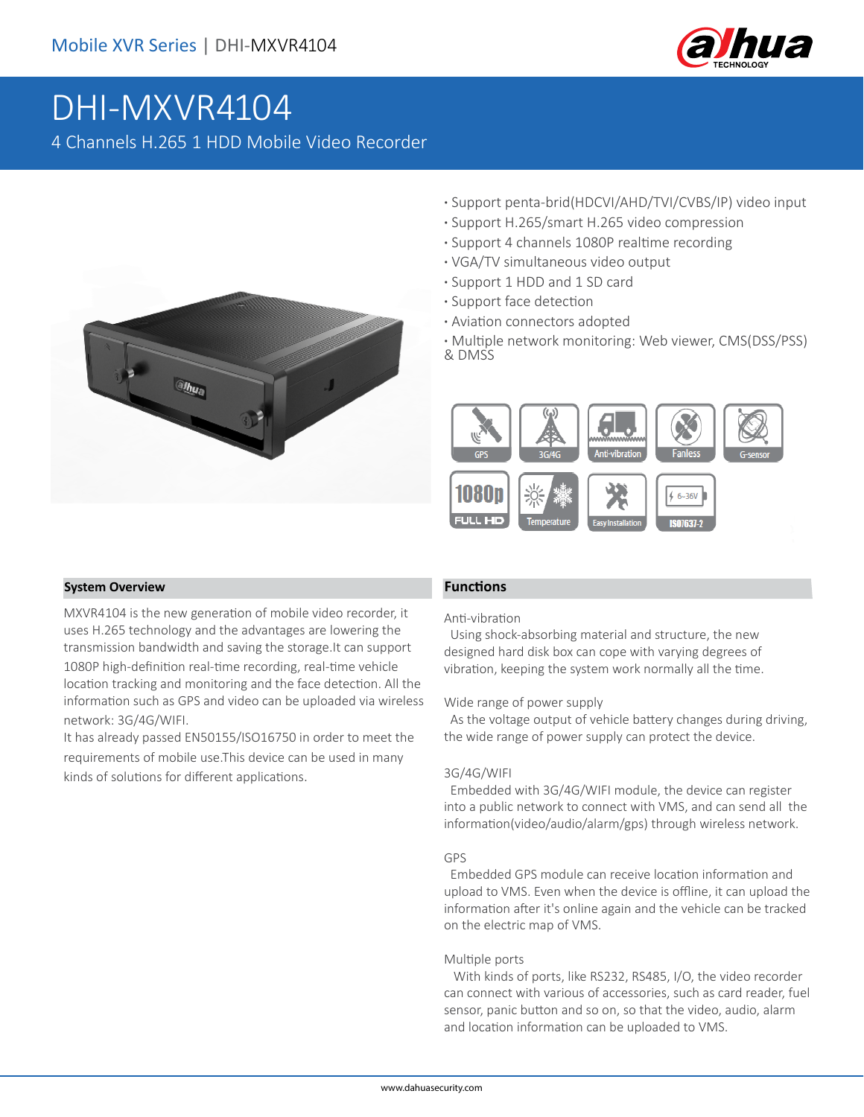

# DHI-MXVR4104

4 Channels H.265 1 HDD Mobile Video Recorder



- **·** Support penta-brid(HDCVI/AHD/TVI/CVBS/IP) video input
- **·** Support H.265/smart H.265 video compression
- **·** Support 4 channels 1080P realtime recording
- **·** VGA/TV simultaneous video output
- **·** Support 1 HDD and 1 SD card
- **·** Support face detection
- **·** Aviation connectors adopted
- **·** Multiple network monitoring: Web viewer, CMS(DSS/PSS) & DMSS



### **System Overview Functions**

MXVR4104 is the new generation of mobile video recorder, it uses H.265 technology and the advantages are lowering the transmission bandwidth and saving the storage.It can support 1080P high-definition real-time recording, real-time vehicle location tracking and monitoring and the face detection. All the information such as GPS and video can be uploaded via wireless network: 3G/4G/WIFI.

It has already passed EN50155/ISO16750 in order to meet the requirements of mobile use.This device can be used in many kinds of solutions for different applications.

### Anti-vibration

 Using shock-absorbing material and structure, the new designed hard disk box can cope with varying degrees of vibration, keeping the system work normally all the time.

### Wide range of power supply

 As the voltage output of vehicle battery changes during driving, the wide range of power supply can protect the device.

### 3G/4G/WIFI

 Embedded with 3G/4G/WIFI module, the device can register into a public network to connect with VMS, and can send all the information(video/audio/alarm/gps) through wireless network.

#### GPS

 Embedded GPS module can receive location information and upload to VMS. Even when the device is offline, it can upload the information after it's online again and the vehicle can be tracked on the electric map of VMS.

#### Multiple ports

 With kinds of ports, like RS232, RS485, I/O, the video recorder can connect with various of accessories, such as card reader, fuel sensor, panic button and so on, so that the video, audio, alarm and location information can be uploaded to VMS.